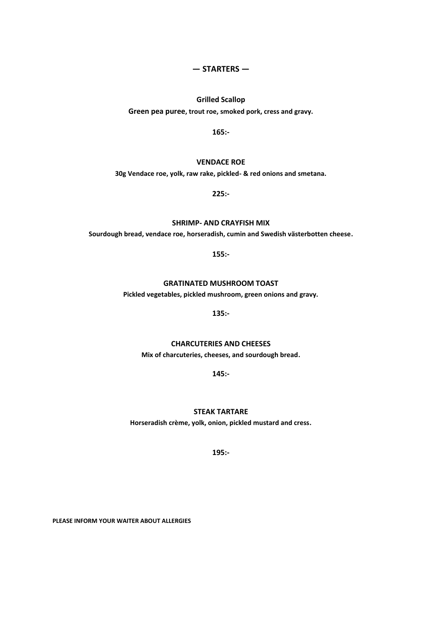## **— STARTERS —**

# **Grilled Scallop Green pea puree, trout roe, smoked pork, cress and gravy.**

**165:-**

## **VENDACE ROE**

**30g Vendace roe, yolk, raw rake, pickled- & red onions and smetana.**

**225:-**

## **SHRIMP- AND CRAYFISH MIX**

**Sourdough bread, vendace roe, horseradish, cumin and Swedish västerbotten cheese.**

**155:-**

## **GRATINATED MUSHROOM TOAST**

**Pickled vegetables, pickled mushroom, green onions and gravy.**

**135:-**

### **CHARCUTERIES AND CHEESES**

**Mix of charcuteries, cheeses, and sourdough bread.**

**145:-**

### **STEAK TARTARE**

**Horseradish crème, yolk, onion, pickled mustard and cress.**

**195:-**

**PLEASE INFORM YOUR WAITER ABOUT ALLERGIES**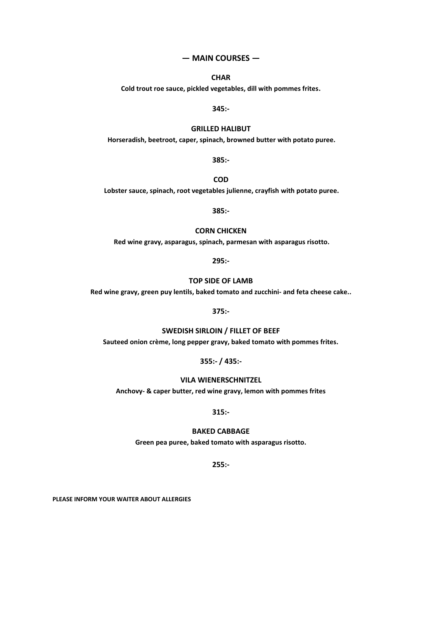#### **— MAIN COURSES —**

## **CHAR**

**Cold trout roe sauce, pickled vegetables, dill with pommes frites.**

**345:-**

#### **GRILLED HALIBUT**

**Horseradish, beetroot, caper, spinach, browned butter with potato puree.** 

**385:-**

**COD**

**Lobster sauce, spinach, root vegetables julienne, crayfish with potato puree.** 

**385:-**

#### **CORN CHICKEN**

**Red wine gravy, asparagus, spinach, parmesan with asparagus risotto.**

**295:-**

## **TOP SIDE OF LAMB**

**Red wine gravy, green puy lentils, baked tomato and zucchini- and feta cheese cake..**

**375:-**

### **SWEDISH SIRLOIN / FILLET OF BEEF**

**Sauteed onion crème, long pepper gravy, baked tomato with pommes frites.**

**355:- / 435:-**

### **VILA WIENERSCHNITZEL**

**Anchovy- & caper butter, red wine gravy, lemon with pommes frites**

**315:-**

### **BAKED CABBAGE**

**Green pea puree, baked tomato with asparagus risotto.**

**255:-**

**PLEASE INFORM YOUR WAITER ABOUT ALLERGIES**